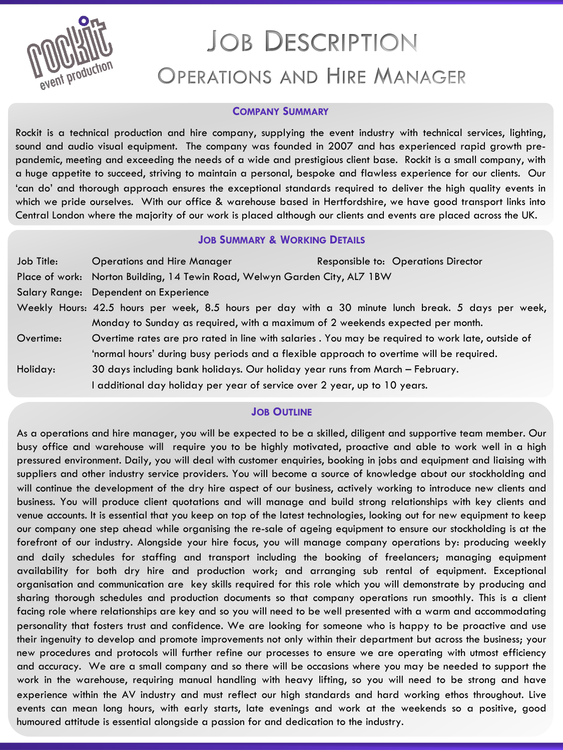

# **JOB DESCRIPTION OPERATIONS AND HIRE MANAGER**

#### **COMPANY SUMMARY**

Rockit is a technical production and hire company, supplying the event industry with technical services, lighting, sound and audio visual equipment. The company was founded in 2007 and has experienced rapid growth prepandemic, meeting and exceeding the needs of a wide and prestigious client base. Rockit is a small company, with a huge appetite to succeed, striving to maintain a personal, bespoke and flawless experience for our clients. Our 'can do' and thorough approach ensures the exceptional standards required to deliver the high quality events in which we pride ourselves. With our office & warehouse based in Hertfordshire, we have good transport links into Central London where the majority of our work is placed although our clients and events are placed across the UK.

### **JOB SUMMARY & WORKING DETAILS**

| Job Title: | <b>Operations and Hire Manager</b>                                                                  | Responsible to: Operations Director |
|------------|-----------------------------------------------------------------------------------------------------|-------------------------------------|
|            | Place of work: Norton Building, 14 Tewin Road, Welwyn Garden City, AL7 1BW                          |                                     |
|            | Salary Range: Dependent on Experience                                                               |                                     |
|            | Weekly Hours: 42.5 hours per week, 8.5 hours per day with a 30 minute lunch break. 5 days per week, |                                     |
|            | Monday to Sunday as required, with a maximum of 2 weekends expected per month.                      |                                     |
| Overtime:  | Overtime rates are pro rated in line with salaries. You may be required to work late, outside of    |                                     |
|            | 'normal hours' during busy periods and a flexible approach to overtime will be required.            |                                     |
| Holiday:   | 30 days including bank holidays. Our holiday year runs from March - February.                       |                                     |
|            | additional day holiday per year of service over 2 year, up to 10 years.                             |                                     |

### **JOB OUTLINE**

As a operations and hire manager, you will be expected to be a skilled, diligent and supportive team member. Our busy office and warehouse will require you to be highly motivated, proactive and able to work well in a high pressured environment. Daily, you will deal with customer enquiries, booking in jobs and equipment and liaising with suppliers and other industry service providers. You will become a source of knowledge about our stockholding and will continue the development of the dry hire aspect of our business, actively working to introduce new clients and business. You will produce client quotations and will manage and build strong relationships with key clients and venue accounts. It is essential that you keep on top of the latest technologies, looking out for new equipment to keep our company one step ahead while organising the re-sale of ageing equipment to ensure our stockholding is at the forefront of our industry. Alongside your hire focus, you will manage company operations by: producing weekly and daily schedules for staffing and transport including the booking of freelancers; managing equipment availability for both dry hire and production work; and arranging sub rental of equipment. Exceptional organisation and communication are key skills required for this role which you will demonstrate by producing and sharing thorough schedules and production documents so that company operations run smoothly. This is a client facing role where relationships are key and so you will need to be well presented with a warm and accommodating personality that fosters trust and confidence. We are looking for someone who is happy to be proactive and use their ingenuity to develop and promote improvements not only within their department but across the business; your new procedures and protocols will further refine our processes to ensure we are operating with utmost efficiency and accuracy. We are a small company and so there will be occasions where you may be needed to support the work in the warehouse, requiring manual handling with heavy lifting, so you will need to be strong and have experience within the AV industry and must reflect our high standards and hard working ethos throughout. Live events can mean long hours, with early starts, late evenings and work at the weekends so a positive, good humoured attitude is essential alongside a passion for and dedication to the industry.